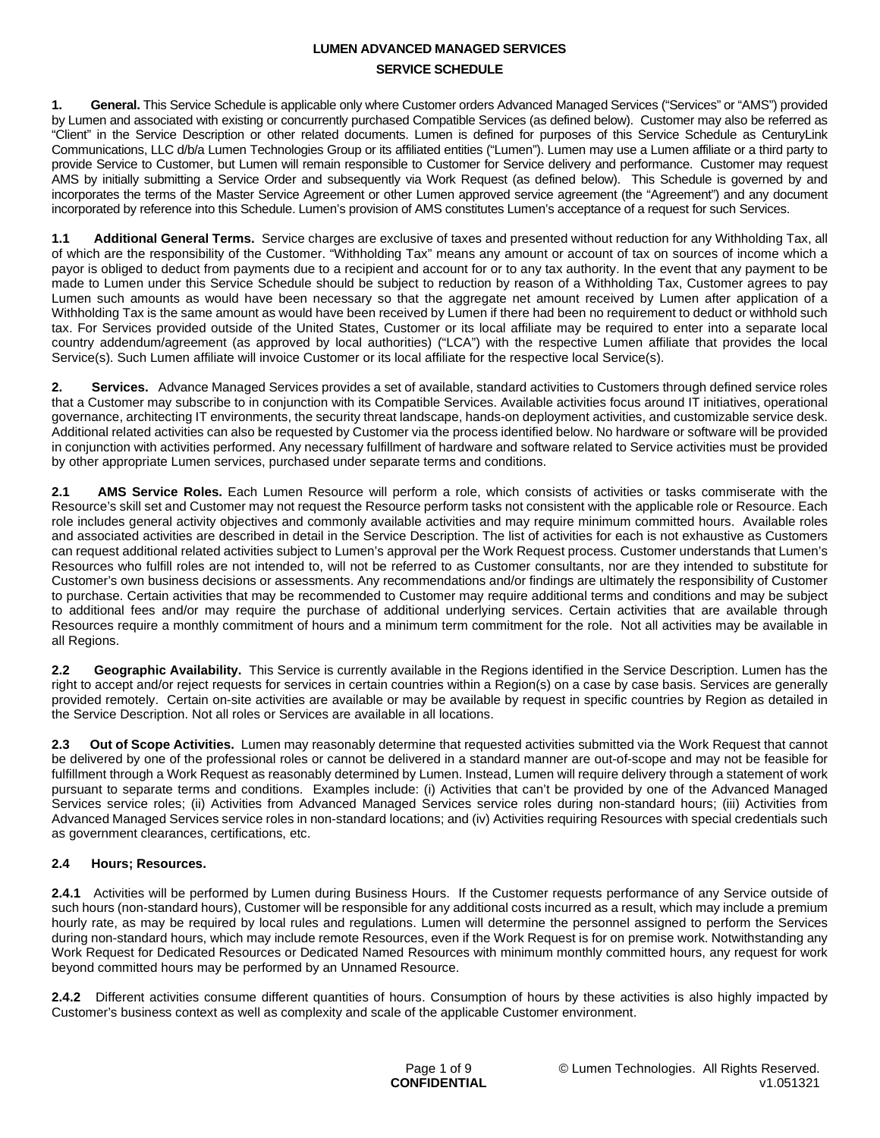# **LUMEN ADVANCED MANAGED SERVICES SERVICE SCHEDULE**

**1. General.** This Service Schedule is applicable only where Customer orders Advanced Managed Services ("Services" or "AMS") provided by Lumen and associated with existing or concurrently purchased Compatible Services (as defined below). Customer may also be referred as "Client" in the Service Description or other related documents. Lumen is defined for purposes of this Service Schedule as CenturyLink Communications, LLC d/b/a Lumen Technologies Group or its affiliated entities ("Lumen"). Lumen may use a Lumen affiliate or a third party to provide Service to Customer, but Lumen will remain responsible to Customer for Service delivery and performance. Customer may request AMS by initially submitting a Service Order and subsequently via Work Request (as defined below). This Schedule is governed by and incorporates the terms of the Master Service Agreement or other Lumen approved service agreement (the "Agreement") and any document incorporated by reference into this Schedule. Lumen's provision of AMS constitutes Lumen's acceptance of a request for such Services.

**1.1 Additional General Terms.** Service charges are exclusive of taxes and presented without reduction for any Withholding Tax, all of which are the responsibility of the Customer. "Withholding Tax" means any amount or account of tax on sources of income which a payor is obliged to deduct from payments due to a recipient and account for or to any tax authority. In the event that any payment to be made to Lumen under this Service Schedule should be subject to reduction by reason of a Withholding Tax, Customer agrees to pay Lumen such amounts as would have been necessary so that the aggregate net amount received by Lumen after application of a Withholding Tax is the same amount as would have been received by Lumen if there had been no requirement to deduct or withhold such tax. For Services provided outside of the United States, Customer or its local affiliate may be required to enter into a separate local country addendum/agreement (as approved by local authorities) ("LCA") with the respective Lumen affiliate that provides the local Service(s). Such Lumen affiliate will invoice Customer or its local affiliate for the respective local Service(s).

**2. Services.** Advance Managed Services provides a set of available, standard activities to Customers through defined service roles that a Customer may subscribe to in conjunction with its Compatible Services. Available activities focus around IT initiatives, operational governance, architecting IT environments, the security threat landscape, hands-on deployment activities, and customizable service desk. Additional related activities can also be requested by Customer via the process identified below. No hardware or software will be provided in conjunction with activities performed. Any necessary fulfillment of hardware and software related to Service activities must be provided by other appropriate Lumen services, purchased under separate terms and conditions.

**2.1 AMS Service Roles.** Each Lumen Resource will perform a role, which consists of activities or tasks commiserate with the Resource's skill set and Customer may not request the Resource perform tasks not consistent with the applicable role or Resource. Each role includes general activity objectives and commonly available activities and may require minimum committed hours. Available roles and associated activities are described in detail in the Service Description. The list of activities for each is not exhaustive as Customers can request additional related activities subject to Lumen's approval per the Work Request process. Customer understands that Lumen's Resources who fulfill roles are not intended to, will not be referred to as Customer consultants, nor are they intended to substitute for Customer's own business decisions or assessments. Any recommendations and/or findings are ultimately the responsibility of Customer to purchase. Certain activities that may be recommended to Customer may require additional terms and conditions and may be subject to additional fees and/or may require the purchase of additional underlying services. Certain activities that are available through Resources require a monthly commitment of hours and a minimum term commitment for the role. Not all activities may be available in all Regions.

**2.2 Geographic Availability.** This Service is currently available in the Regions identified in the Service Description. Lumen has the right to accept and/or reject requests for services in certain countries within a Region(s) on a case by case basis. Services are generally provided remotely. Certain on-site activities are available or may be available by request in specific countries by Region as detailed in the Service Description. Not all roles or Services are available in all locations.

**2.3 Out of Scope Activities.** Lumen may reasonably determine that requested activities submitted via the Work Request that cannot be delivered by one of the professional roles or cannot be delivered in a standard manner are out-of-scope and may not be feasible for fulfillment through a Work Request as reasonably determined by Lumen. Instead, Lumen will require delivery through a statement of work pursuant to separate terms and conditions. Examples include: (i) Activities that can't be provided by one of the Advanced Managed Services service roles; (ii) Activities from Advanced Managed Services service roles during non-standard hours; (iii) Activities from Advanced Managed Services service roles in non-standard locations; and (iv) Activities requiring Resources with special credentials such as government clearances, certifications, etc.

## **2.4 Hours; Resources.**

**2.4.1** Activities will be performed by Lumen during Business Hours. If the Customer requests performance of any Service outside of such hours (non-standard hours), Customer will be responsible for any additional costs incurred as a result, which may include a premium hourly rate, as may be required by local rules and regulations. Lumen will determine the personnel assigned to perform the Services during non-standard hours, which may include remote Resources, even if the Work Request is for on premise work. Notwithstanding any Work Request for Dedicated Resources or Dedicated Named Resources with minimum monthly committed hours, any request for work beyond committed hours may be performed by an Unnamed Resource.

**2.4.2** Different activities consume different quantities of hours. Consumption of hours by these activities is also highly impacted by Customer's business context as well as complexity and scale of the applicable Customer environment.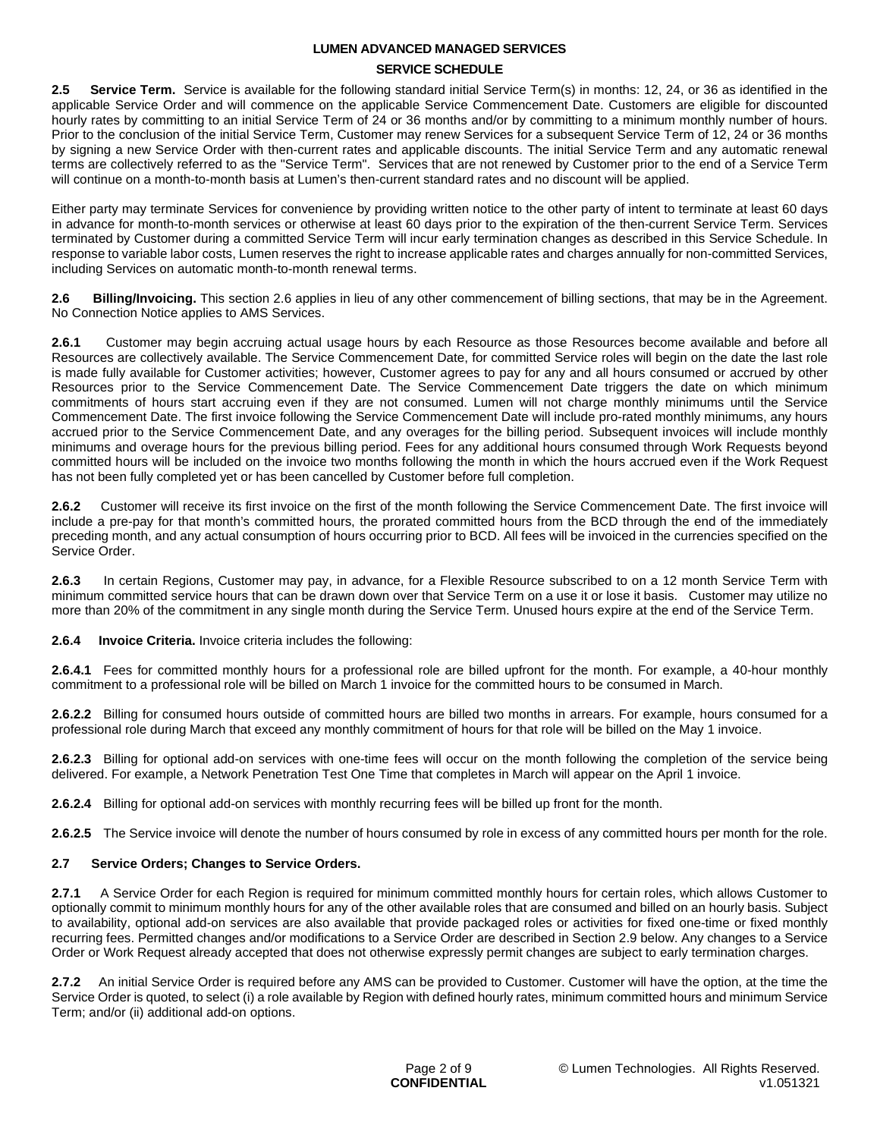### **SERVICE SCHEDULE**

**2.5 Service Term.** Service is available for the following standard initial Service Term(s) in months: 12, 24, or 36 as identified in the applicable Service Order and will commence on the applicable Service Commencement Date. Customers are eligible for discounted hourly rates by committing to an initial Service Term of 24 or 36 months and/or by committing to a minimum monthly number of hours. Prior to the conclusion of the initial Service Term, Customer may renew Services for a subsequent Service Term of 12, 24 or 36 months by signing a new Service Order with then-current rates and applicable discounts. The initial Service Term and any automatic renewal terms are collectively referred to as the "Service Term". Services that are not renewed by Customer prior to the end of a Service Term will continue on a month-to-month basis at Lumen's then-current standard rates and no discount will be applied.

Either party may terminate Services for convenience by providing written notice to the other party of intent to terminate at least 60 days in advance for month-to-month services or otherwise at least 60 days prior to the expiration of the then-current Service Term. Services terminated by Customer during a committed Service Term will incur early termination changes as described in this Service Schedule. In response to variable labor costs, Lumen reserves the right to increase applicable rates and charges annually for non-committed Services, including Services on automatic month-to-month renewal terms.

**2.6 Billing/Invoicing.** This section 2.6 applies in lieu of any other commencement of billing sections, that may be in the Agreement. No Connection Notice applies to AMS Services.

**2.6.1** Customer may begin accruing actual usage hours by each Resource as those Resources become available and before all Resources are collectively available. The Service Commencement Date, for committed Service roles will begin on the date the last role is made fully available for Customer activities; however, Customer agrees to pay for any and all hours consumed or accrued by other Resources prior to the Service Commencement Date. The Service Commencement Date triggers the date on which minimum commitments of hours start accruing even if they are not consumed. Lumen will not charge monthly minimums until the Service Commencement Date. The first invoice following the Service Commencement Date will include pro-rated monthly minimums, any hours accrued prior to the Service Commencement Date, and any overages for the billing period. Subsequent invoices will include monthly minimums and overage hours for the previous billing period. Fees for any additional hours consumed through Work Requests beyond committed hours will be included on the invoice two months following the month in which the hours accrued even if the Work Request has not been fully completed yet or has been cancelled by Customer before full completion.

**2.6.2** Customer will receive its first invoice on the first of the month following the Service Commencement Date. The first invoice will include a pre-pay for that month's committed hours, the prorated committed hours from the BCD through the end of the immediately preceding month, and any actual consumption of hours occurring prior to BCD. All fees will be invoiced in the currencies specified on the Service Order.

**2.6.3** In certain Regions, Customer may pay, in advance, for a Flexible Resource subscribed to on a 12 month Service Term with minimum committed service hours that can be drawn down over that Service Term on a use it or lose it basis. Customer may utilize no more than 20% of the commitment in any single month during the Service Term. Unused hours expire at the end of the Service Term.

**2.6.4 Invoice Criteria.** Invoice criteria includes the following:

**2.6.4.1** Fees for committed monthly hours for a professional role are billed upfront for the month. For example, a 40-hour monthly commitment to a professional role will be billed on March 1 invoice for the committed hours to be consumed in March.

**2.6.2.2** Billing for consumed hours outside of committed hours are billed two months in arrears. For example, hours consumed for a professional role during March that exceed any monthly commitment of hours for that role will be billed on the May 1 invoice.

**2.6.2.3** Billing for optional add-on services with one-time fees will occur on the month following the completion of the service being delivered. For example, a Network Penetration Test One Time that completes in March will appear on the April 1 invoice.

**2.6.2.4** Billing for optional add-on services with monthly recurring fees will be billed up front for the month.

**2.6.2.5** The Service invoice will denote the number of hours consumed by role in excess of any committed hours per month for the role.

### **2.7 Service Orders; Changes to Service Orders.**

**2.7.1** A Service Order for each Region is required for minimum committed monthly hours for certain roles, which allows Customer to optionally commit to minimum monthly hours for any of the other available roles that are consumed and billed on an hourly basis. Subject to availability, optional add-on services are also available that provide packaged roles or activities for fixed one-time or fixed monthly recurring fees. Permitted changes and/or modifications to a Service Order are described in Section 2.9 below. Any changes to a Service Order or Work Request already accepted that does not otherwise expressly permit changes are subject to early termination charges.

**2.7.2** An initial Service Order is required before any AMS can be provided to Customer. Customer will have the option, at the time the Service Order is quoted, to select (i) a role available by Region with defined hourly rates, minimum committed hours and minimum Service Term; and/or (ii) additional add-on options.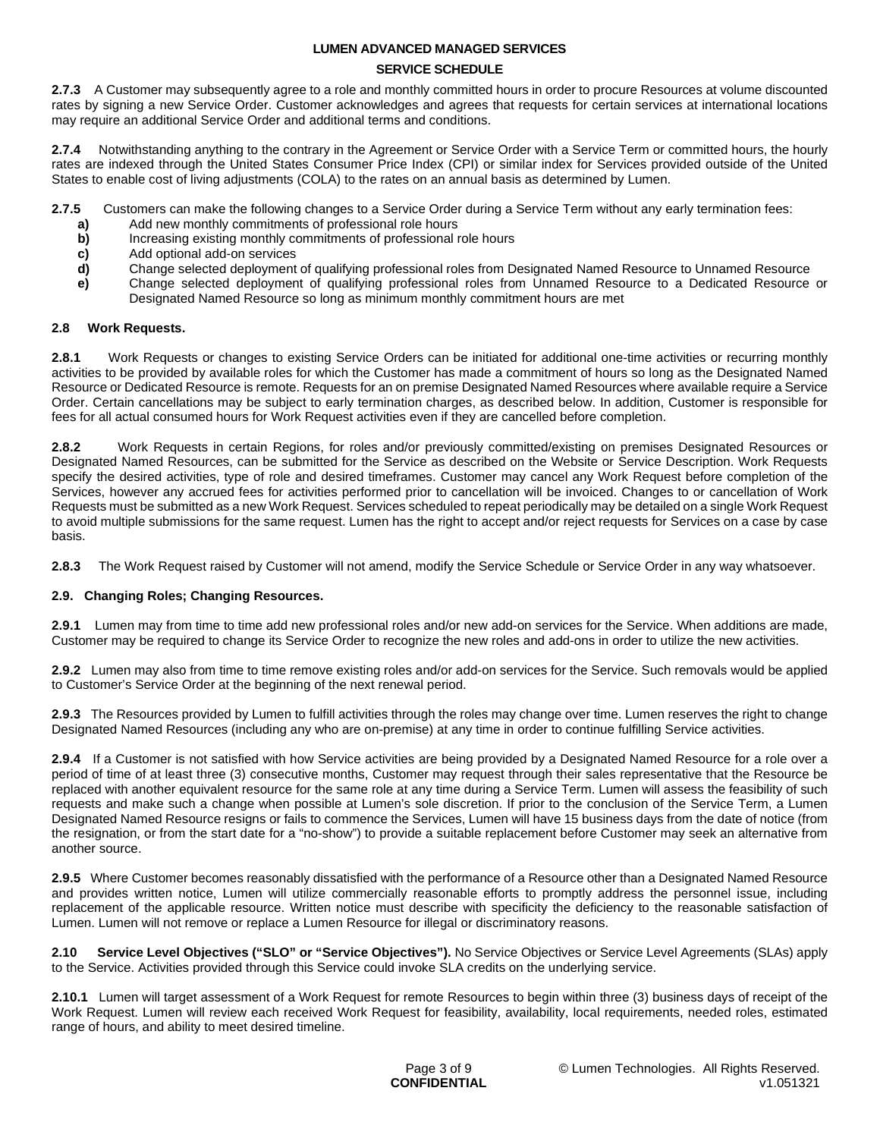### **SERVICE SCHEDULE**

**2.7.3** A Customer may subsequently agree to a role and monthly committed hours in order to procure Resources at volume discounted rates by signing a new Service Order. Customer acknowledges and agrees that requests for certain services at international locations may require an additional Service Order and additional terms and conditions.

**2.7.4** Notwithstanding anything to the contrary in the Agreement or Service Order with a Service Term or committed hours, the hourly rates are indexed through the United States Consumer Price Index (CPI) or similar index for Services provided outside of the United States to enable cost of living adjustments (COLA) to the rates on an annual basis as determined by Lumen.

**2.7.5** Customers can make the following changes to a Service Order during a Service Term without any early termination fees:

- **a)** Add new monthly commitments of professional role hours
- **b)** Increasing existing monthly commitments of professional role hours
- **c)** Add optional add-on services
- **d)** Change selected deployment of qualifying professional roles from Designated Named Resource to Unnamed Resource
- **e)** Change selected deployment of qualifying professional roles from Unnamed Resource to a Dedicated Resource or Designated Named Resource so long as minimum monthly commitment hours are met

### **2.8 Work Requests.**

**2.8.1** Work Requests or changes to existing Service Orders can be initiated for additional one-time activities or recurring monthly activities to be provided by available roles for which the Customer has made a commitment of hours so long as the Designated Named Resource or Dedicated Resource is remote. Requests for an on premise Designated Named Resources where available require a Service Order. Certain cancellations may be subject to early termination charges, as described below. In addition, Customer is responsible for fees for all actual consumed hours for Work Request activities even if they are cancelled before completion.

**2.8.2** Work Requests in certain Regions, for roles and/or previously committed/existing on premises Designated Resources or Designated Named Resources, can be submitted for the Service as described on the Website or Service Description. Work Requests specify the desired activities, type of role and desired timeframes. Customer may cancel any Work Request before completion of the Services, however any accrued fees for activities performed prior to cancellation will be invoiced. Changes to or cancellation of Work Requests must be submitted as a new Work Request. Services scheduled to repeat periodically may be detailed on a single Work Request to avoid multiple submissions for the same request. Lumen has the right to accept and/or reject requests for Services on a case by case basis.

**2.8.3** The Work Request raised by Customer will not amend, modify the Service Schedule or Service Order in any way whatsoever.

### **2.9. Changing Roles; Changing Resources.**

**2.9.1** Lumen may from time to time add new professional roles and/or new add-on services for the Service. When additions are made, Customer may be required to change its Service Order to recognize the new roles and add-ons in order to utilize the new activities.

**2.9.2** Lumen may also from time to time remove existing roles and/or add-on services for the Service. Such removals would be applied to Customer's Service Order at the beginning of the next renewal period.

**2.9.3** The Resources provided by Lumen to fulfill activities through the roles may change over time. Lumen reserves the right to change Designated Named Resources (including any who are on-premise) at any time in order to continue fulfilling Service activities.

**2.9.4** If a Customer is not satisfied with how Service activities are being provided by a Designated Named Resource for a role over a period of time of at least three (3) consecutive months, Customer may request through their sales representative that the Resource be replaced with another equivalent resource for the same role at any time during a Service Term. Lumen will assess the feasibility of such requests and make such a change when possible at Lumen's sole discretion. If prior to the conclusion of the Service Term, a Lumen Designated Named Resource resigns or fails to commence the Services, Lumen will have 15 business days from the date of notice (from the resignation, or from the start date for a "no-show") to provide a suitable replacement before Customer may seek an alternative from another source.

**2.9.5** Where Customer becomes reasonably dissatisfied with the performance of a Resource other than a Designated Named Resource and provides written notice, Lumen will utilize commercially reasonable efforts to promptly address the personnel issue, including replacement of the applicable resource. Written notice must describe with specificity the deficiency to the reasonable satisfaction of Lumen. Lumen will not remove or replace a Lumen Resource for illegal or discriminatory reasons.

**2.10 Service Level Objectives ("SLO" or "Service Objectives").** No Service Objectives or Service Level Agreements (SLAs) apply to the Service. Activities provided through this Service could invoke SLA credits on the underlying service.

**2.10.1** Lumen will target assessment of a Work Request for remote Resources to begin within three (3) business days of receipt of the Work Request. Lumen will review each received Work Request for feasibility, availability, local requirements, needed roles, estimated range of hours, and ability to meet desired timeline.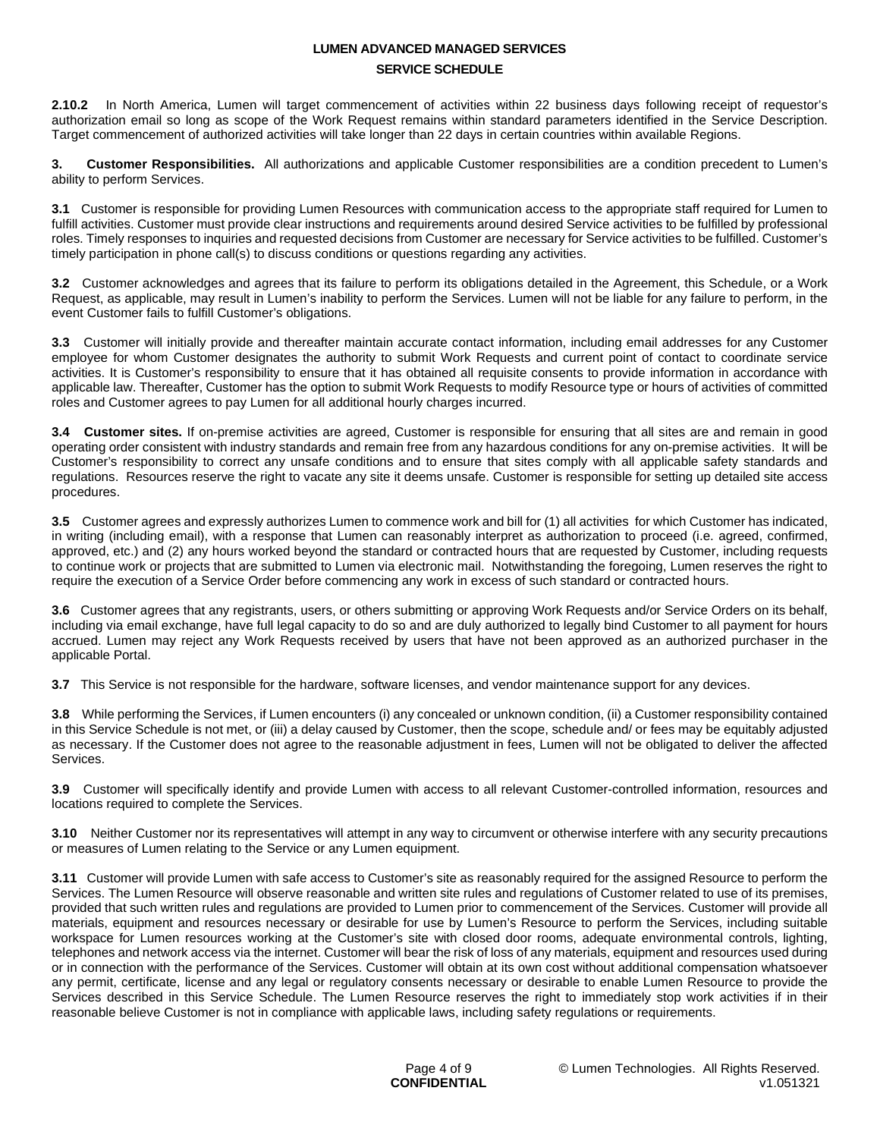## **LUMEN ADVANCED MANAGED SERVICES SERVICE SCHEDULE**

**2.10.2** In North America, Lumen will target commencement of activities within 22 business days following receipt of requestor's authorization email so long as scope of the Work Request remains within standard parameters identified in the Service Description. Target commencement of authorized activities will take longer than 22 days in certain countries within available Regions.

**3. Customer Responsibilities.** All authorizations and applicable Customer responsibilities are a condition precedent to Lumen's ability to perform Services.

**3.1** Customer is responsible for providing Lumen Resources with communication access to the appropriate staff required for Lumen to fulfill activities. Customer must provide clear instructions and requirements around desired Service activities to be fulfilled by professional roles. Timely responses to inquiries and requested decisions from Customer are necessary for Service activities to be fulfilled. Customer's timely participation in phone call(s) to discuss conditions or questions regarding any activities.

**3.2** Customer acknowledges and agrees that its failure to perform its obligations detailed in the Agreement, this Schedule, or a Work Request, as applicable, may result in Lumen's inability to perform the Services. Lumen will not be liable for any failure to perform, in the event Customer fails to fulfill Customer's obligations.

**3.3** Customer will initially provide and thereafter maintain accurate contact information, including email addresses for any Customer employee for whom Customer designates the authority to submit Work Requests and current point of contact to coordinate service activities. It is Customer's responsibility to ensure that it has obtained all requisite consents to provide information in accordance with applicable law. Thereafter, Customer has the option to submit Work Requests to modify Resource type or hours of activities of committed roles and Customer agrees to pay Lumen for all additional hourly charges incurred.

**3.4 Customer sites.** If on-premise activities are agreed, Customer is responsible for ensuring that all sites are and remain in good operating order consistent with industry standards and remain free from any hazardous conditions for any on-premise activities. It will be Customer's responsibility to correct any unsafe conditions and to ensure that sites comply with all applicable safety standards and regulations. Resources reserve the right to vacate any site it deems unsafe. Customer is responsible for setting up detailed site access procedures.

**3.5** Customer agrees and expressly authorizes Lumen to commence work and bill for (1) all activities for which Customer has indicated, in writing (including email), with a response that Lumen can reasonably interpret as authorization to proceed (i.e. agreed, confirmed, approved, etc.) and (2) any hours worked beyond the standard or contracted hours that are requested by Customer, including requests to continue work or projects that are submitted to Lumen via electronic mail. Notwithstanding the foregoing, Lumen reserves the right to require the execution of a Service Order before commencing any work in excess of such standard or contracted hours.

**3.6** Customer agrees that any registrants, users, or others submitting or approving Work Requests and/or Service Orders on its behalf, including via email exchange, have full legal capacity to do so and are duly authorized to legally bind Customer to all payment for hours accrued. Lumen may reject any Work Requests received by users that have not been approved as an authorized purchaser in the applicable Portal.

**3.7** This Service is not responsible for the hardware, software licenses, and vendor maintenance support for any devices.

**3.8** While performing the Services, if Lumen encounters (i) any concealed or unknown condition, (ii) a Customer responsibility contained in this Service Schedule is not met, or (iii) a delay caused by Customer, then the scope, schedule and/ or fees may be equitably adjusted as necessary. If the Customer does not agree to the reasonable adjustment in fees, Lumen will not be obligated to deliver the affected Services.

**3.9** Customer will specifically identify and provide Lumen with access to all relevant Customer-controlled information, resources and locations required to complete the Services.

**3.10** Neither Customer nor its representatives will attempt in any way to circumvent or otherwise interfere with any security precautions or measures of Lumen relating to the Service or any Lumen equipment.

**3.11** Customer will provide Lumen with safe access to Customer's site as reasonably required for the assigned Resource to perform the Services. The Lumen Resource will observe reasonable and written site rules and regulations of Customer related to use of its premises, provided that such written rules and regulations are provided to Lumen prior to commencement of the Services. Customer will provide all materials, equipment and resources necessary or desirable for use by Lumen's Resource to perform the Services, including suitable workspace for Lumen resources working at the Customer's site with closed door rooms, adequate environmental controls, lighting, telephones and network access via the internet. Customer will bear the risk of loss of any materials, equipment and resources used during or in connection with the performance of the Services. Customer will obtain at its own cost without additional compensation whatsoever any permit, certificate, license and any legal or regulatory consents necessary or desirable to enable Lumen Resource to provide the Services described in this Service Schedule. The Lumen Resource reserves the right to immediately stop work activities if in their reasonable believe Customer is not in compliance with applicable laws, including safety regulations or requirements.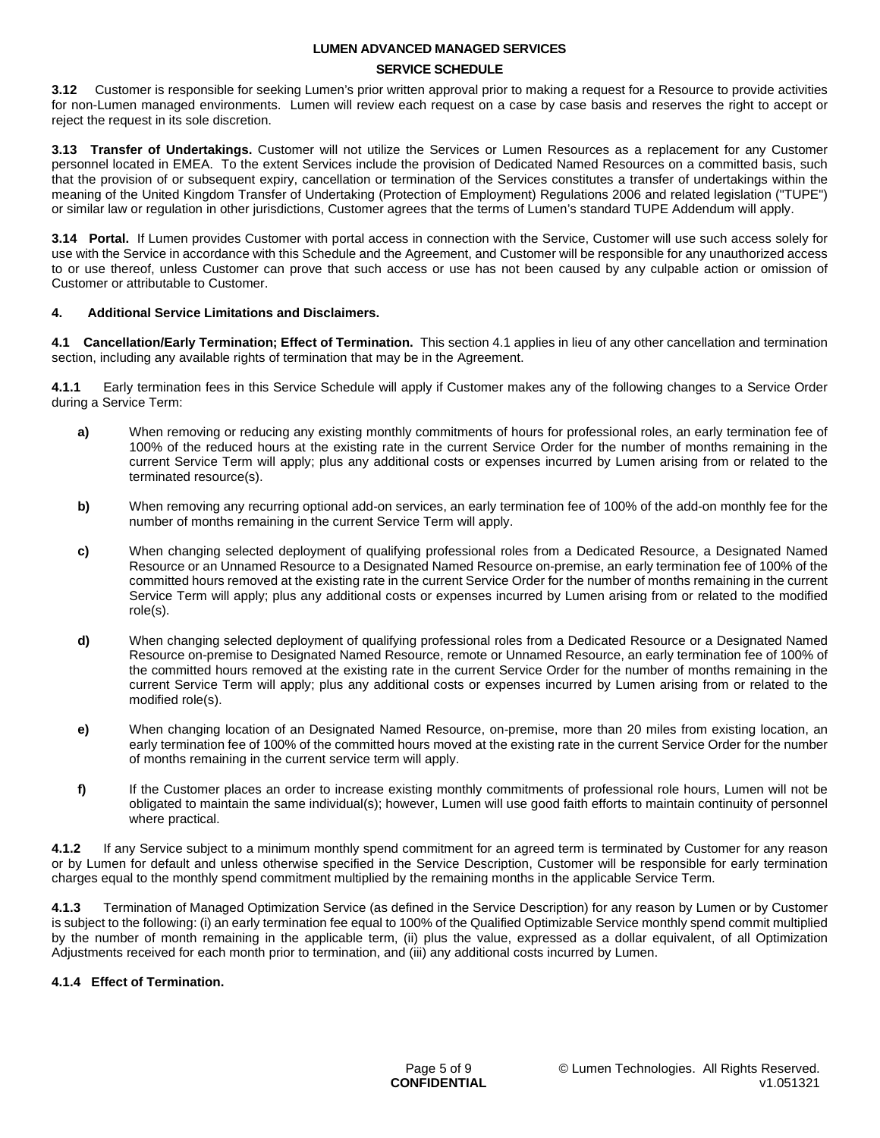### **SERVICE SCHEDULE**

**3.12** Customer is responsible for seeking Lumen's prior written approval prior to making a request for a Resource to provide activities for non-Lumen managed environments. Lumen will review each request on a case by case basis and reserves the right to accept or reject the request in its sole discretion.

**3.13 Transfer of Undertakings.** Customer will not utilize the Services or Lumen Resources as a replacement for any Customer personnel located in EMEA. To the extent Services include the provision of Dedicated Named Resources on a committed basis, such that the provision of or subsequent expiry, cancellation or termination of the Services constitutes a transfer of undertakings within the meaning of the United Kingdom Transfer of Undertaking (Protection of Employment) Regulations 2006 and related legislation ("TUPE") or similar law or regulation in other jurisdictions, Customer agrees that the terms of Lumen's standard TUPE Addendum will apply.

**3.14 Portal.** If Lumen provides Customer with portal access in connection with the Service, Customer will use such access solely for use with the Service in accordance with this Schedule and the Agreement, and Customer will be responsible for any unauthorized access to or use thereof, unless Customer can prove that such access or use has not been caused by any culpable action or omission of Customer or attributable to Customer.

### **4. Additional Service Limitations and Disclaimers.**

**4.1 Cancellation/Early Termination; Effect of Termination.** This section 4.1 applies in lieu of any other cancellation and termination section, including any available rights of termination that may be in the Agreement.

**4.1.1** Early termination fees in this Service Schedule will apply if Customer makes any of the following changes to a Service Order during a Service Term:

- **a)** When removing or reducing any existing monthly commitments of hours for professional roles, an early termination fee of 100% of the reduced hours at the existing rate in the current Service Order for the number of months remaining in the current Service Term will apply; plus any additional costs or expenses incurred by Lumen arising from or related to the terminated resource(s).
- **b)** When removing any recurring optional add-on services, an early termination fee of 100% of the add-on monthly fee for the number of months remaining in the current Service Term will apply.
- **c)** When changing selected deployment of qualifying professional roles from a Dedicated Resource, a Designated Named Resource or an Unnamed Resource to a Designated Named Resource on-premise, an early termination fee of 100% of the committed hours removed at the existing rate in the current Service Order for the number of months remaining in the current Service Term will apply; plus any additional costs or expenses incurred by Lumen arising from or related to the modified role(s).
- **d)** When changing selected deployment of qualifying professional roles from a Dedicated Resource or a Designated Named Resource on-premise to Designated Named Resource, remote or Unnamed Resource, an early termination fee of 100% of the committed hours removed at the existing rate in the current Service Order for the number of months remaining in the current Service Term will apply; plus any additional costs or expenses incurred by Lumen arising from or related to the modified role(s).
- **e)** When changing location of an Designated Named Resource, on-premise, more than 20 miles from existing location, an early termination fee of 100% of the committed hours moved at the existing rate in the current Service Order for the number of months remaining in the current service term will apply.
- **f)** If the Customer places an order to increase existing monthly commitments of professional role hours, Lumen will not be obligated to maintain the same individual(s); however, Lumen will use good faith efforts to maintain continuity of personnel where practical.

**4.1.2** If any Service subject to a minimum monthly spend commitment for an agreed term is terminated by Customer for any reason or by Lumen for default and unless otherwise specified in the Service Description, Customer will be responsible for early termination charges equal to the monthly spend commitment multiplied by the remaining months in the applicable Service Term.

**4.1.3** Termination of Managed Optimization Service (as defined in the Service Description) for any reason by Lumen or by Customer is subject to the following: (i) an early termination fee equal to 100% of the Qualified Optimizable Service monthly spend commit multiplied by the number of month remaining in the applicable term, (ii) plus the value, expressed as a dollar equivalent, of all Optimization Adjustments received for each month prior to termination, and (iii) any additional costs incurred by Lumen.

### **4.1.4 Effect of Termination.**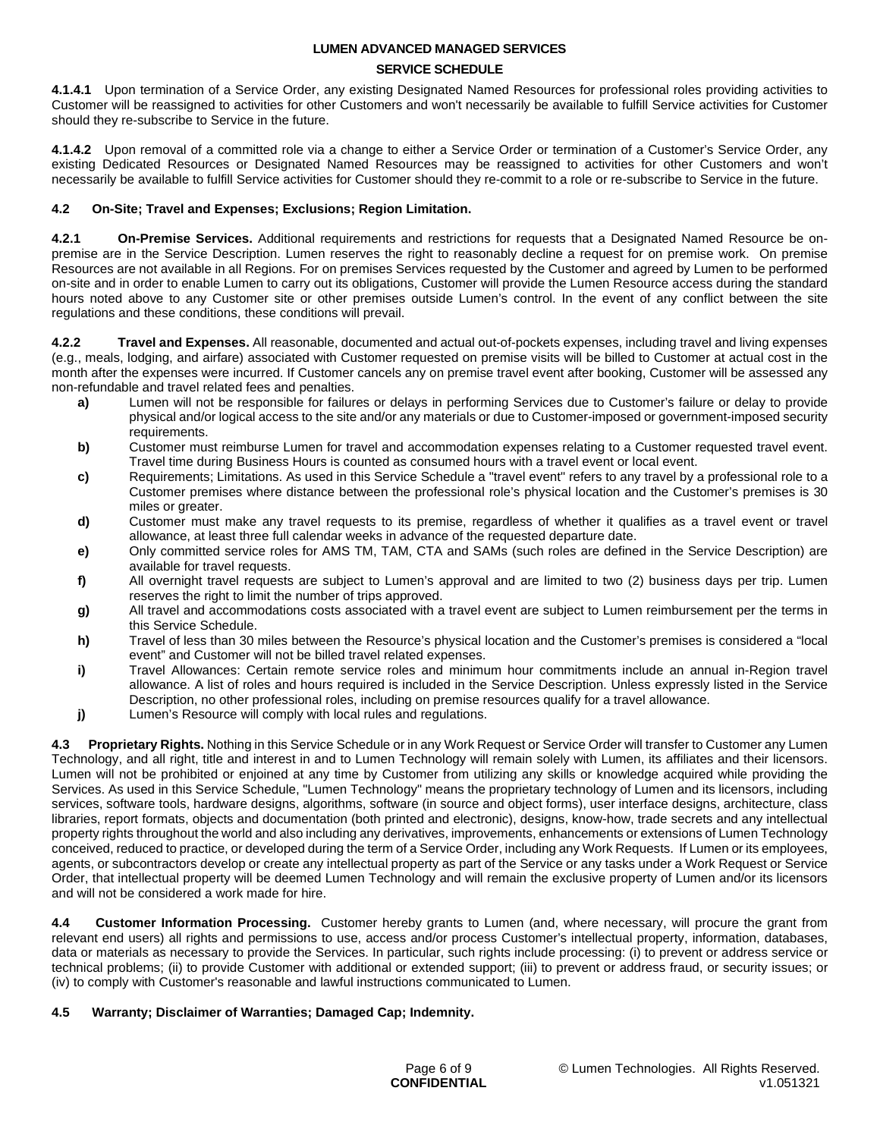### **SERVICE SCHEDULE**

**4.1.4.1** Upon termination of a Service Order, any existing Designated Named Resources for professional roles providing activities to Customer will be reassigned to activities for other Customers and won't necessarily be available to fulfill Service activities for Customer should they re-subscribe to Service in the future.

**4.1.4.2** Upon removal of a committed role via a change to either a Service Order or termination of a Customer's Service Order, any existing Dedicated Resources or Designated Named Resources may be reassigned to activities for other Customers and won't necessarily be available to fulfill Service activities for Customer should they re-commit to a role or re-subscribe to Service in the future.

### **4.2 On-Site; Travel and Expenses; Exclusions; Region Limitation.**

**4.2.1 On-Premise Services.** Additional requirements and restrictions for requests that a Designated Named Resource be onpremise are in the Service Description. Lumen reserves the right to reasonably decline a request for on premise work. On premise Resources are not available in all Regions. For on premises Services requested by the Customer and agreed by Lumen to be performed on-site and in order to enable Lumen to carry out its obligations, Customer will provide the Lumen Resource access during the standard hours noted above to any Customer site or other premises outside Lumen's control. In the event of any conflict between the site regulations and these conditions, these conditions will prevail.

**4.2.2 Travel and Expenses.** All reasonable, documented and actual out-of-pockets expenses, including travel and living expenses (e.g., meals, lodging, and airfare) associated with Customer requested on premise visits will be billed to Customer at actual cost in the month after the expenses were incurred. If Customer cancels any on premise travel event after booking, Customer will be assessed any non-refundable and travel related fees and penalties.

- **a)** Lumen will not be responsible for failures or delays in performing Services due to Customer's failure or delay to provide physical and/or logical access to the site and/or any materials or due to Customer-imposed or government-imposed security requirements.
- **b)** Customer must reimburse Lumen for travel and accommodation expenses relating to a Customer requested travel event. Travel time during Business Hours is counted as consumed hours with a travel event or local event.
- **c)** Requirements; Limitations. As used in this Service Schedule a "travel event" refers to any travel by a professional role to a Customer premises where distance between the professional role's physical location and the Customer's premises is 30 miles or greater.
- **d)** Customer must make any travel requests to its premise, regardless of whether it qualifies as a travel event or travel allowance, at least three full calendar weeks in advance of the requested departure date.
- **e)** Only committed service roles for AMS TM, TAM, CTA and SAMs (such roles are defined in the Service Description) are available for travel requests.
- **f)** All overnight travel requests are subject to Lumen's approval and are limited to two (2) business days per trip. Lumen reserves the right to limit the number of trips approved.
- **g)** All travel and accommodations costs associated with a travel event are subject to Lumen reimbursement per the terms in this Service Schedule.
- **h)** Travel of less than 30 miles between the Resource's physical location and the Customer's premises is considered a "local event" and Customer will not be billed travel related expenses.
- **i)** Travel Allowances: Certain remote service roles and minimum hour commitments include an annual in-Region travel allowance. A list of roles and hours required is included in the Service Description. Unless expressly listed in the Service Description, no other professional roles, including on premise resources qualify for a travel allowance.
- **j)** Lumen's Resource will comply with local rules and regulations.

**4.3 Proprietary Rights.** Nothing in this Service Schedule or in any Work Request or Service Order will transfer to Customer any Lumen Technology, and all right, title and interest in and to Lumen Technology will remain solely with Lumen, its affiliates and their licensors. Lumen will not be prohibited or enjoined at any time by Customer from utilizing any skills or knowledge acquired while providing the Services. As used in this Service Schedule, "Lumen Technology" means the proprietary technology of Lumen and its licensors, including services, software tools, hardware designs, algorithms, software (in source and object forms), user interface designs, architecture, class libraries, report formats, objects and documentation (both printed and electronic), designs, know-how, trade secrets and any intellectual property rights throughout the world and also including any derivatives, improvements, enhancements or extensions of Lumen Technology conceived, reduced to practice, or developed during the term of a Service Order, including any Work Requests. If Lumen or its employees, agents, or subcontractors develop or create any intellectual property as part of the Service or any tasks under a Work Request or Service Order, that intellectual property will be deemed Lumen Technology and will remain the exclusive property of Lumen and/or its licensors and will not be considered a work made for hire.

**4.4 Customer Information Processing.** Customer hereby grants to Lumen (and, where necessary, will procure the grant from relevant end users) all rights and permissions to use, access and/or process Customer's intellectual property, information, databases, data or materials as necessary to provide the Services. In particular, such rights include processing: (i) to prevent or address service or technical problems; (ii) to provide Customer with additional or extended support; (iii) to prevent or address fraud, or security issues; or (iv) to comply with Customer's reasonable and lawful instructions communicated to Lumen.

### **4.5 Warranty; Disclaimer of Warranties; Damaged Cap; Indemnity.**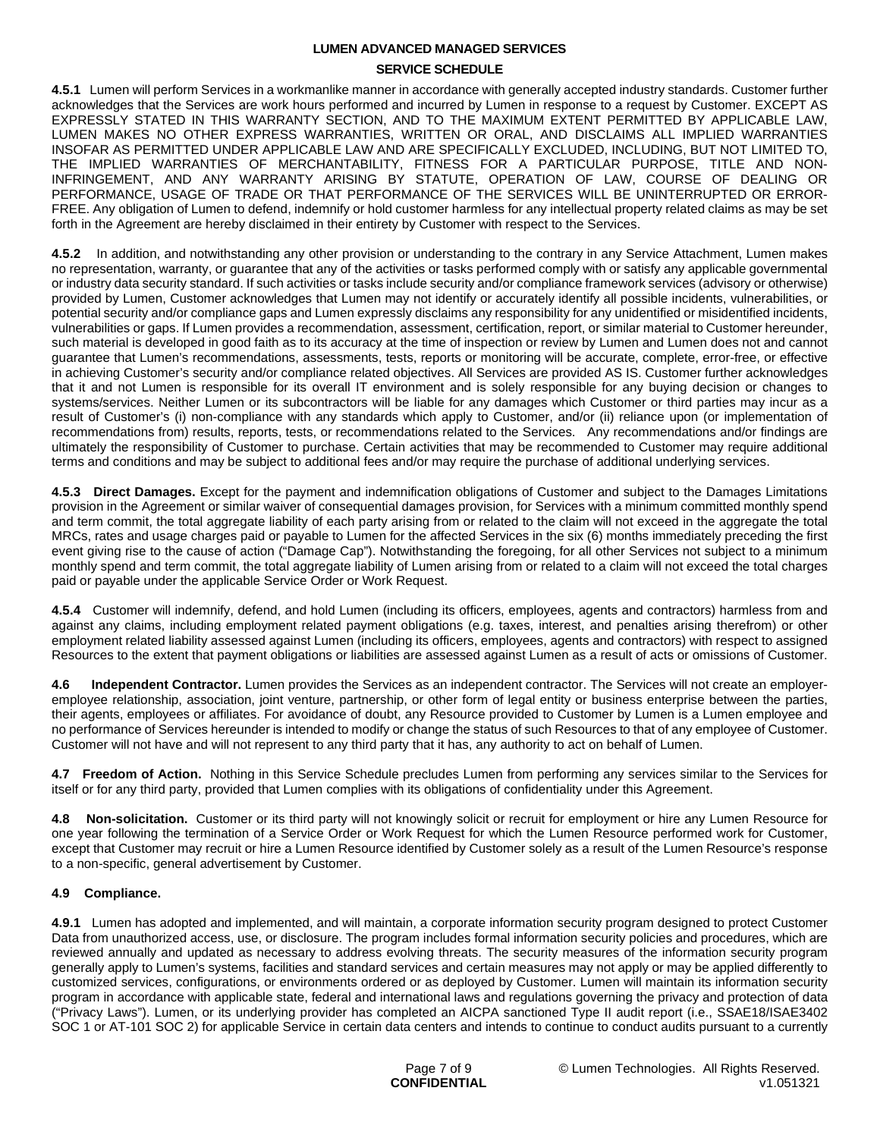### **SERVICE SCHEDULE**

**4.5.1** Lumen will perform Services in a workmanlike manner in accordance with generally accepted industry standards. Customer further acknowledges that the Services are work hours performed and incurred by Lumen in response to a request by Customer. EXCEPT AS EXPRESSLY STATED IN THIS WARRANTY SECTION, AND TO THE MAXIMUM EXTENT PERMITTED BY APPLICABLE LAW, LUMEN MAKES NO OTHER EXPRESS WARRANTIES, WRITTEN OR ORAL, AND DISCLAIMS ALL IMPLIED WARRANTIES INSOFAR AS PERMITTED UNDER APPLICABLE LAW AND ARE SPECIFICALLY EXCLUDED, INCLUDING, BUT NOT LIMITED TO, THE IMPLIED WARRANTIES OF MERCHANTABILITY, FITNESS FOR A PARTICULAR PURPOSE, TITLE AND NON-INFRINGEMENT, AND ANY WARRANTY ARISING BY STATUTE, OPERATION OF LAW, COURSE OF DEALING OR PERFORMANCE, USAGE OF TRADE OR THAT PERFORMANCE OF THE SERVICES WILL BE UNINTERRUPTED OR ERROR-FREE. Any obligation of Lumen to defend, indemnify or hold customer harmless for any intellectual property related claims as may be set forth in the Agreement are hereby disclaimed in their entirety by Customer with respect to the Services.

**4.5.2** In addition, and notwithstanding any other provision or understanding to the contrary in any Service Attachment, Lumen makes no representation, warranty, or guarantee that any of the activities or tasks performed comply with or satisfy any applicable governmental or industry data security standard. If such activities or tasks include security and/or compliance framework services (advisory or otherwise) provided by Lumen, Customer acknowledges that Lumen may not identify or accurately identify all possible incidents, vulnerabilities, or potential security and/or compliance gaps and Lumen expressly disclaims any responsibility for any unidentified or misidentified incidents, vulnerabilities or gaps. If Lumen provides a recommendation, assessment, certification, report, or similar material to Customer hereunder, such material is developed in good faith as to its accuracy at the time of inspection or review by Lumen and Lumen does not and cannot guarantee that Lumen's recommendations, assessments, tests, reports or monitoring will be accurate, complete, error-free, or effective in achieving Customer's security and/or compliance related objectives. All Services are provided AS IS. Customer further acknowledges that it and not Lumen is responsible for its overall IT environment and is solely responsible for any buying decision or changes to systems/services. Neither Lumen or its subcontractors will be liable for any damages which Customer or third parties may incur as a result of Customer's (i) non-compliance with any standards which apply to Customer, and/or (ii) reliance upon (or implementation of recommendations from) results, reports, tests, or recommendations related to the Services. Any recommendations and/or findings are ultimately the responsibility of Customer to purchase. Certain activities that may be recommended to Customer may require additional terms and conditions and may be subject to additional fees and/or may require the purchase of additional underlying services.

**4.5.3 Direct Damages.** Except for the payment and indemnification obligations of Customer and subject to the Damages Limitations provision in the Agreement or similar waiver of consequential damages provision, for Services with a minimum committed monthly spend and term commit, the total aggregate liability of each party arising from or related to the claim will not exceed in the aggregate the total MRCs, rates and usage charges paid or payable to Lumen for the affected Services in the six (6) months immediately preceding the first event giving rise to the cause of action ("Damage Cap"). Notwithstanding the foregoing, for all other Services not subject to a minimum monthly spend and term commit, the total aggregate liability of Lumen arising from or related to a claim will not exceed the total charges paid or payable under the applicable Service Order or Work Request.

**4.5.4** Customer will indemnify, defend, and hold Lumen (including its officers, employees, agents and contractors) harmless from and against any claims, including employment related payment obligations (e.g. taxes, interest, and penalties arising therefrom) or other employment related liability assessed against Lumen (including its officers, employees, agents and contractors) with respect to assigned Resources to the extent that payment obligations or liabilities are assessed against Lumen as a result of acts or omissions of Customer.

**4.6 Independent Contractor.** Lumen provides the Services as an independent contractor. The Services will not create an employeremployee relationship, association, joint venture, partnership, or other form of legal entity or business enterprise between the parties, their agents, employees or affiliates. For avoidance of doubt, any Resource provided to Customer by Lumen is a Lumen employee and no performance of Services hereunder is intended to modify or change the status of such Resources to that of any employee of Customer. Customer will not have and will not represent to any third party that it has, any authority to act on behalf of Lumen.

**4.7 Freedom of Action.** Nothing in this Service Schedule precludes Lumen from performing any services similar to the Services for itself or for any third party, provided that Lumen complies with its obligations of confidentiality under this Agreement.

**4.8 Non-solicitation.** Customer or its third party will not knowingly solicit or recruit for employment or hire any Lumen Resource for one year following the termination of a Service Order or Work Request for which the Lumen Resource performed work for Customer, except that Customer may recruit or hire a Lumen Resource identified by Customer solely as a result of the Lumen Resource's response to a non-specific, general advertisement by Customer.

### **4.9 Compliance.**

**4.9.1** Lumen has adopted and implemented, and will maintain, a corporate information security program designed to protect Customer Data from unauthorized access, use, or disclosure. The program includes formal information security policies and procedures, which are reviewed annually and updated as necessary to address evolving threats. The security measures of the information security program generally apply to Lumen's systems, facilities and standard services and certain measures may not apply or may be applied differently to customized services, configurations, or environments ordered or as deployed by Customer. Lumen will maintain its information security program in accordance with applicable state, federal and international laws and regulations governing the privacy and protection of data ("Privacy Laws"). Lumen, or its underlying provider has completed an AICPA sanctioned Type II audit report (i.e., SSAE18/ISAE3402 SOC 1 or AT-101 SOC 2) for applicable Service in certain data centers and intends to continue to conduct audits pursuant to a currently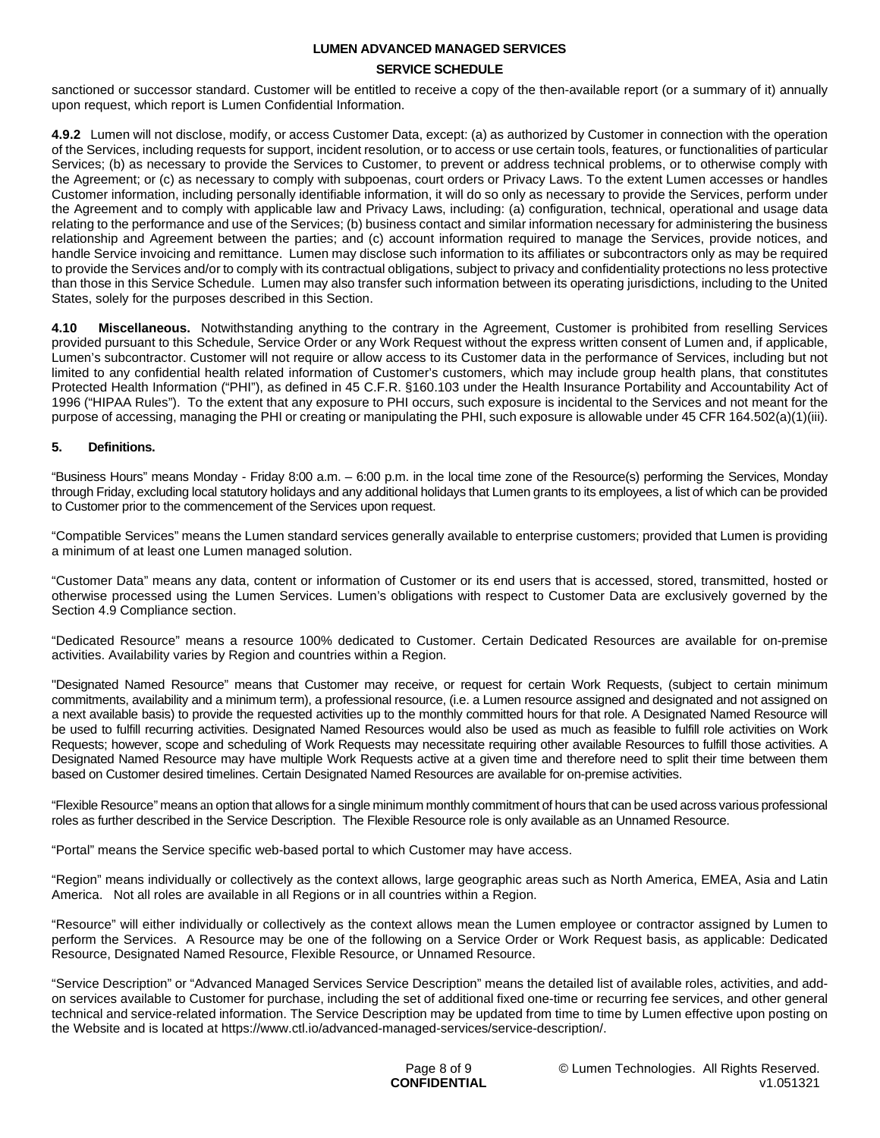#### **SERVICE SCHEDULE**

sanctioned or successor standard. Customer will be entitled to receive a copy of the then-available report (or a summary of it) annually upon request, which report is Lumen Confidential Information.

**4.9.2** Lumen will not disclose, modify, or access Customer Data, except: (a) as authorized by Customer in connection with the operation of the Services, including requests for support, incident resolution, or to access or use certain tools, features, or functionalities of particular Services; (b) as necessary to provide the Services to Customer, to prevent or address technical problems, or to otherwise comply with the Agreement; or (c) as necessary to comply with subpoenas, court orders or Privacy Laws. To the extent Lumen accesses or handles Customer information, including personally identifiable information, it will do so only as necessary to provide the Services, perform under the Agreement and to comply with applicable law and Privacy Laws, including: (a) configuration, technical, operational and usage data relating to the performance and use of the Services; (b) business contact and similar information necessary for administering the business relationship and Agreement between the parties; and (c) account information required to manage the Services, provide notices, and handle Service invoicing and remittance. Lumen may disclose such information to its affiliates or subcontractors only as may be required to provide the Services and/or to comply with its contractual obligations, subject to privacy and confidentiality protections no less protective than those in this Service Schedule. Lumen may also transfer such information between its operating jurisdictions, including to the United States, solely for the purposes described in this Section.

**4.10 Miscellaneous.** Notwithstanding anything to the contrary in the Agreement, Customer is prohibited from reselling Services provided pursuant to this Schedule, Service Order or any Work Request without the express written consent of Lumen and, if applicable, Lumen's subcontractor. Customer will not require or allow access to its Customer data in the performance of Services, including but not limited to any confidential health related information of Customer's customers, which may include group health plans, that constitutes Protected Health Information ("PHI"), as defined in 45 C.F.R. §160.103 under the Health Insurance Portability and Accountability Act of 1996 ("HIPAA Rules"). To the extent that any exposure to PHI occurs, such exposure is incidental to the Services and not meant for the purpose of accessing, managing the PHI or creating or manipulating the PHI, such exposure is allowable under 45 CFR 164.502(a)(1)(iii).

#### **5. Definitions.**

"Business Hours" means Monday - Friday 8:00 a.m. – 6:00 p.m. in the local time zone of the Resource(s) performing the Services, Monday through Friday, excluding local statutory holidays and any additional holidays that Lumen grants to its employees, a list of which can be provided to Customer prior to the commencement of the Services upon request.

"Compatible Services" means the Lumen standard services generally available to enterprise customers; provided that Lumen is providing a minimum of at least one Lumen managed solution.

"Customer Data" means any data, content or information of Customer or its end users that is accessed, stored, transmitted, hosted or otherwise processed using the Lumen Services. Lumen's obligations with respect to Customer Data are exclusively governed by the Section 4.9 Compliance section.

"Dedicated Resource" means a resource 100% dedicated to Customer. Certain Dedicated Resources are available for on-premise activities. Availability varies by Region and countries within a Region.

"Designated Named Resource" means that Customer may receive, or request for certain Work Requests, (subject to certain minimum commitments, availability and a minimum term), a professional resource, (i.e. a Lumen resource assigned and designated and not assigned on a next available basis) to provide the requested activities up to the monthly committed hours for that role. A Designated Named Resource will be used to fulfill recurring activities. Designated Named Resources would also be used as much as feasible to fulfill role activities on Work Requests; however, scope and scheduling of Work Requests may necessitate requiring other available Resources to fulfill those activities. A Designated Named Resource may have multiple Work Requests active at a given time and therefore need to split their time between them based on Customer desired timelines. Certain Designated Named Resources are available for on-premise activities.

"Flexible Resource" means an option that allows for a single minimum monthly commitment of hours that can be used across various professional roles as further described in the Service Description. The Flexible Resource role is only available as an Unnamed Resource.

"Portal" means the Service specific web-based portal to which Customer may have access.

"Region" means individually or collectively as the context allows, large geographic areas such as North America, EMEA, Asia and Latin America. Not all roles are available in all Regions or in all countries within a Region.

"Resource" will either individually or collectively as the context allows mean the Lumen employee or contractor assigned by Lumen to perform the Services. A Resource may be one of the following on a Service Order or Work Request basis, as applicable: Dedicated Resource, Designated Named Resource, Flexible Resource, or Unnamed Resource.

"Service Description" or "Advanced Managed Services Service Description" means the detailed list of available roles, activities, and addon services available to Customer for purchase, including the set of additional fixed one-time or recurring fee services, and other general technical and service-related information. The Service Description may be updated from time to time by Lumen effective upon posting on the Website and is located at https://www.ctl.io/advanced-managed-services/service-description/.